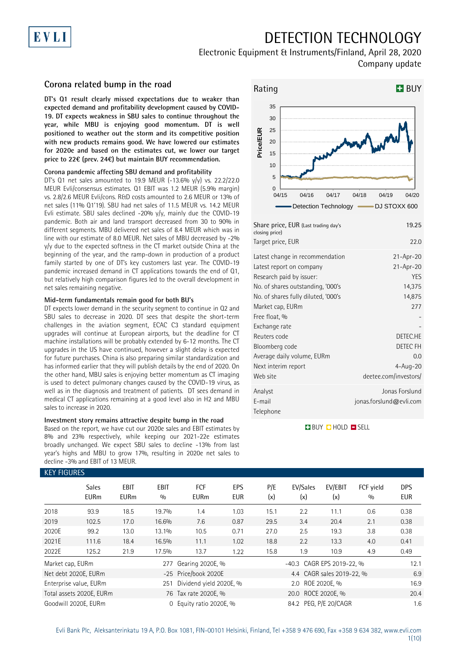# DETECTION TECHNOLOGY

## Electronic Equipment & Instruments/Finland, April 28, 2020 Company update

### **Corona related bump in the road**

EVLI

**DT's Q1 result clearly missed expectations due to weaker than expected demand and profitability development caused by COVID-19. DT expects weakness in SBU sales to continue throughout the year, while MBU is enjoying good momentum. DT is well positioned to weather out the storm and its competitive position with new products remains good. We have lowered our estimates for 2020e and based on the estimates cut, we lower our target price to 22€ (prev. 24€) but maintain BUY recommendation.**

### **Corona pandemic affecting SBU demand and profitability**

DT's Q1 net sales amounted to 19.9 MEUR (-13.6% y/y) vs. 22.2/22.0 MEUR Evli/consensus estimates. Q1 EBIT was 1.2 MEUR (5.9% margin) vs. 2.8/2.6 MEUR Evli/cons. R&D costs amounted to 2.6 MEUR or 13% of net sales (11% Q1'19). SBU had net sales of 11.5 MEUR vs. 14.2 MEUR Evli estimate. SBU sales declined -20% y/y, mainly due the COVID-19 pandemic. Both air and land transport decreased from 30 to 90% in different segments. MBU delivered net sales of 8.4 MEUR which was in line with our estimate of 8.0 MEUR. Net sales of MBU decreased by -2% y/y due to the expected softness in the CT market outside China at the beginning of the year, and the ramp-down in production of a product family started by one of DT's key customers last year. The COVID-19 pandemic increased demand in CT applications towards the end of Q1, but relatively high comparison figures led to the overall development in net sales remaining negative.

### **Mid-term fundamentals remain good for both BU's**

DT expects lower demand in the security segment to continue in Q2 and SBU sales to decrease in 2020. DT sees that despite the short-term challenges in the aviation segment, ECAC C3 standard equipment upgrades will continue at European airports, but the deadline for CT machine installations will be probably extended by 6-12 months. The CT upgrades in the US have continued, however a slight delay is expected for future purchases. China is also preparing similar standardization and has informed earlier that they will publish details by the end of 2020. On the other hand, MBU sales is enjoying better momentum as CT imaging is used to detect pulmonary changes caused by the COVID-19 virus, as well as in the diagnosis and treatment of patients. DT sees demand in medical CT applications remaining at a good level also in H2 and MBU sales to increase in 2020.

### **Investment story remains attractive despite bump in the road**

Based on the report, we have cut our 2020e sales and EBIT estimates by 8% and 23% respectively, while keeping our 2021-22e estimates broadly unchanged. We expect SBU sales to decline -13% from last year's highs and MBU to grow 17%, resulting in 2020e net sales to decline -3% and EBIT of 13 MEUR.



| Share price, EUR (Last trading day's<br>closing price)                                                                                                                                  | 19.25                                                                   |
|-----------------------------------------------------------------------------------------------------------------------------------------------------------------------------------------|-------------------------------------------------------------------------|
| Target price, EUR                                                                                                                                                                       | 22.0                                                                    |
| Latest change in recommendation<br>Latest report on company<br>Research paid by issuer:<br>No. of shares outstanding, '000's<br>No. of shares fully diluted, '000's<br>Market cap, EURm | $21 - Apr - 20$<br>$21-Apr-20$<br><b>YES</b><br>14,375<br>14,875<br>277 |
| Free float, %<br>Exchange rate<br>Reuters code<br>Bloomberg code<br>Average daily volume, EURm<br>Next interim report<br>Web site                                                       | DETEC.HE<br>DETEC FH<br>0.0<br>$4 - Aug - 20$<br>deetee.com/investors/  |
| Analyst<br>E-mail<br>Telephone                                                                                                                                                          | Jonas Forslund<br>jonas.forslund@evli.com                               |

**BUY CHOLD ESELL** 

|                  | <b>KEY FIGURES</b>          |                            |                    |                           |                          |                    |                           |                           |                  |                          |  |  |  |
|------------------|-----------------------------|----------------------------|--------------------|---------------------------|--------------------------|--------------------|---------------------------|---------------------------|------------------|--------------------------|--|--|--|
|                  | <b>Sales</b><br><b>EURm</b> | <b>EBIT</b><br><b>EURm</b> | <b>EBIT</b><br>0/0 | <b>FCF</b><br><b>EURm</b> | <b>EPS</b><br><b>EUR</b> | P/E<br>(x)         | EV/Sales<br>(x)           | EV/EBIT<br>(x)            | FCF vield<br>0/0 | <b>DPS</b><br><b>EUR</b> |  |  |  |
| 2018             | 93.9                        | 18.5                       | 19.7%              | 1.4                       | 1.03                     | 15.1               | 2.2                       | 11.1                      | 0.6              | 0.38                     |  |  |  |
| 2019             | 102.5                       | 17.0                       | 16.6%              | 7.6                       | 0.87                     | 29.5               | 3.4                       | 20.4                      | 2.1              | 0.38                     |  |  |  |
| 2020E            | 99.2                        | 13.0                       | 13.1%              | 10.5                      | 0.71                     | 27.0               | 2.5                       | 19.3                      | 3.8              | 0.38                     |  |  |  |
| 2021E            | 111.6                       | 18.4                       | 16.5%              | 11.1                      | 1.02                     | 18.8               | 2.2                       | 13.3                      | 4.0              | 0.41                     |  |  |  |
| 2022E            | 125.2                       | 21.9                       | 17.5%              | 13.7                      | 1.22                     | 15.8               | 1.9                       | 10.9                      | 4.9              | 0.49                     |  |  |  |
| Market cap, EURm |                             |                            | 277                | Gearing 2020E, %          |                          |                    | -40.3 CAGR EPS 2019-22, % | 12.1                      |                  |                          |  |  |  |
|                  | Net debt 2020E, EURm        |                            |                    | -25 Price/book 2020E      |                          |                    |                           | 4.4 CAGR sales 2019-22, % |                  | 6.9                      |  |  |  |
|                  | Enterprise value, EURm      |                            | 251                | Dividend yield 2020E, %   |                          |                    | 2.0                       | ROE 2020E, %              |                  | 16.9                     |  |  |  |
|                  | Total assets 2020E, EURm    |                            |                    | 76 Tax rate 2020E, %      |                          | 20.0 ROCE 2020E, % |                           |                           |                  | 20.4                     |  |  |  |
|                  | Goodwill 2020E, EURm        |                            | $\Omega$           | Equity ratio 2020E, %     |                          |                    | 84.2 PEG, P/E 20/CAGR     |                           |                  | 1.6                      |  |  |  |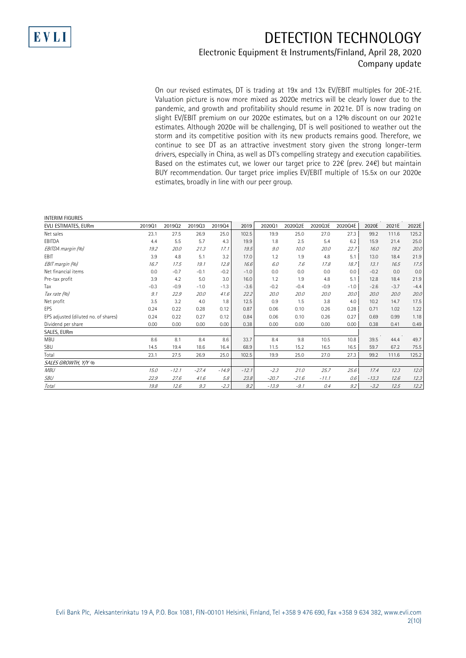

## DETECTION TECHNOLOGY

### Electronic Equipment & Instruments/Finland, April 28, 2020 Company update

On our revised estimates, DT is trading at 19x and 13x EV/EBIT multiples for 20E-21E. Valuation picture is now more mixed as 2020e metrics will be clearly lower due to the pandemic, and growth and profitability should resume in 2021e. DT is now trading on slight EV/EBIT premium on our 2020e estimates, but on a 12% discount on our 2021e estimates. Although 2020e will be challenging, DT is well positioned to weather out the storm and its competitive position with its new products remains good. Therefore, we continue to see DT as an attractive investment story given the strong longer-term drivers, especially in China, as well as DT's compelling strategy and execution capabilities. Based on the estimates cut, we lower our target price to 22€ (prev. 24€) but maintain BUY recommendation. Our target price implies EV/EBIT multiple of 15.5x on our 2020e estimates, broadly in line with our peer group.

#### INTERIM FIGURES

| EVLI ESTIMATES, EURm                 | 201901 | 201902  | 201903      | 201904  | 2019    | 202001  | 2020Q2E | 2020Q3E | 2020Q4E | 2020E   | 2021E  | 2022E  |
|--------------------------------------|--------|---------|-------------|---------|---------|---------|---------|---------|---------|---------|--------|--------|
| Net sales                            | 23.1   | 27.5    | 26.9        | 25.0    | 102.5   | 19.9    | 25.0    | 27.0    | 27.3    | 99.2    | 111.6  | 125.2  |
| EBITDA                               | 4.4    | 5.5     | 5.7         | 4.3     | 19.9    | 1.8     | 2.5     | 5.4     | 6.2     | 15.9    | 21.4   | 25.0   |
| EBITDA margin (%)                    | 19.2   | 20.0    | 21.3        | 17.1    | 19.5    | 9.0     | 10.0    | 20.0    | 22.7    | 16.0    | 19.2   | 20.0   |
| <b>FBIT</b>                          | 3.9    | 4.8     | 5.1         | 3.2     | 17.0    | 1.2     | 1.9     | 4.8     | 5.1     | 13.0    | 18.4   | 21.9   |
| EBIT margin (%)                      | 16.7   | 17.5    | 19.1        | 12.8    | 16.6    | 6.0     | 7.6     | 17.8    | 18.7    | 13.1    | 16.5   | 17.5   |
| Net financial items                  | 0.0    | $-0.7$  | $-0.1$      | $-0.2$  | $-1.0$  | 0.0     | 0.0     | 0.0     | 0.0     | $-0.2$  | 0.0    | 0.0    |
| Pre-tax profit                       | 3.9    | 4.2     | 5.0         | 3.0     | 16.0    | 1.2     | 1.9     | 4.8     | 5.1     | 12.8    | 18.4   | 21.9   |
| Tax                                  | $-0.3$ | $-0.9$  | $-1.0$      | $-1.3$  | $-3.6$  | $-0.2$  | $-0.4$  | $-0.9$  | $-1.0$  | $-2.6$  | $-3.7$ | $-4.4$ |
| Tax rate (%)                         | 9.1    | 22.9    | <i>20.0</i> | 41.6    | 22.2    | 20.0    | 20.0    | 20.0    | 20.0    | 20.0    | 20.0   | 20.0   |
| Net profit                           | 3.5    | 3.2     | 4.0         | 1.8     | 12.5    | 0.9     | 1.5     | 3.8     | 4.0     | 10.2    | 14.7   | 17.5   |
| <b>EPS</b>                           | 0.24   | 0.22    | 0.28        | 0.12    | 0.87    | 0.06    | 0.10    | 0.26    | 0.28    | 0.71    | 1.02   | 1.22   |
| EPS adjusted (diluted no. of shares) | 0.24   | 0.22    | 0.27        | 0.12    | 0.84    | 0.06    | 0.10    | 0.26    | 0.27    | 0.69    | 0.99   | 1.18   |
| Dividend per share                   | 0.00   | 0.00    | 0.00        | 0.00    | 0.38    | 0.00    | 0.00    | 0.00    | 0.00    | 0.38    | 0.41   | 0.49   |
| SALES, EURm                          |        |         |             |         |         |         |         |         |         |         |        |        |
| <b>MBU</b>                           | 8.6    | 8.1     | 8.4         | 8.6     | 33.7    | 8.4     | 9.8     | 10.5    | 10.8    | 39.5    | 44.4   | 49.7   |
| SBU                                  | 14.5   | 19.4    | 18.6        | 16.4    | 68.9    | 11.5    | 15.2    | 16.5    | 16.5    | 59.7    | 67.2   | 75.5   |
| Total                                | 23.1   | 27.5    | 26.9        | 25.0    | 102.5   | 19.9    | 25.0    | 27.0    | 27.3    | 99.2    | 111.6  | 125.2  |
| SALES GROWTH, Y/Y %                  |        |         |             |         |         |         |         |         |         |         |        |        |
| <b>MBU</b>                           | 15.0   | $-12.1$ | $-27.4$     | $-14.9$ | $-12.1$ | $-2.3$  | 21.0    | 25.7    | 25.6    | 17.4    | 12.3   | 12.0   |
| SBU                                  | 22.9   | 27.6    | 41.6        | 5.8     | 23.8    | $-20.7$ | $-21.6$ | $-11.1$ | 0.6     | $-13.3$ | 12.6   | 12.3   |
| Total                                | 19.8   | 12.6    | 9.3         | $-2.3$  | 9.2     | $-13.9$ | $-9.1$  | 0.4     | 9.2     | $-3.2$  | 12.5   | 12.2   |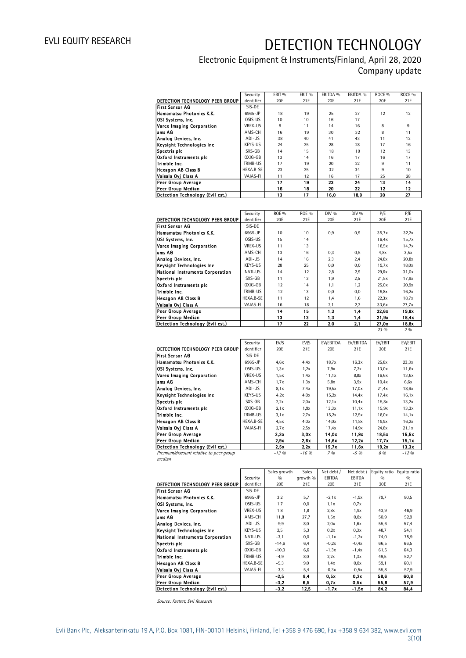## Electronic Equipment & Instruments/Finland, April 28, 2020 Company update

|                                  | Security       | EBIT <sub>%</sub> | EBIT <sub>%</sub> | EBITDA % | EBITDA % | ROCE <sub>%</sub> | ROCE <sub>%</sub> |
|----------------------------------|----------------|-------------------|-------------------|----------|----------|-------------------|-------------------|
| DETECTION TECHNOLOGY PEER GROUP  | identifier     | 20E               | 21E               | 20E      | 21E      | 20E               | 21E               |
| First Sensor AG                  | SIS-DE         |                   |                   |          |          |                   |                   |
| Hamamatsu Photonics K.K.         | 6965-JP        | 18                | 19                | 25       | 27       | 12                | 12                |
| OSI Systems, Inc.                | OSIS-US        | 10                | 10                | 16       | 17       |                   |                   |
| Varex Imaging Corporation        | <b>VREX-US</b> | 9                 | 11                | 14       | 16       | 8                 | 9                 |
| ams AG                           | AMS-CH         | 16                | 19                | 30       | 32       | 8                 | 11                |
| Analog Devices, Inc.             | ADI-US         | 38                | 40                | 41       | 43       | 11                | 12                |
| Keysight Technologies Inc        | KEYS-US        | 24                | 25                | 28       | 28       | 17                | 16                |
| Spectris plc                     | SXS-GB         | 14                | 15                | 18       | 19       | 12                | 13                |
| Oxford Instruments plc           | $OXIG-GB$      | 13                | 14                | 16       | 17       | 16                | 17                |
| Trimble Inc.                     | TRMB-US        | 17                | 19                | 20       | 22       | 9                 | 11                |
| Hexagon AB Class B               | HEXA.B-SE      | 23                | 25                | 32       | 34       | 9                 | 10                |
| Vaisala Oyi Class A              | VAIAS-FI       | 11                | 12                | 16       | 17       | 25                | 28                |
| Peer Group Average               |                | 17                | 19                | 23       | 24       | 13                | 14                |
| Peer Group Median                |                | 16                | 18                | 20       | 22       | 12                | 12                |
| Detection Technology (Evli est.) |                | 13                | 17                | 16,0     | 18,9     | 20                | 27                |

|                                         | Security   | <b>ROE %</b> | <b>ROE %</b> | DIV % | DIV % | P/E   | P/E   |
|-----------------------------------------|------------|--------------|--------------|-------|-------|-------|-------|
| DETECTION TECHNOLOGY PEER GROUP         | identifier | 20E          | 21E          | 20E   | 21E   | 20E   | 21E   |
| First Sensor AG                         | SIS-DE     |              |              |       |       |       |       |
| Hamamatsu Photonics K.K.                | 6965-JP    | 10           | 10           | 0,9   | 0,9   | 35,7x | 32,2x |
| OSI Systems, Inc.                       | OSIS-US    | 15           | 14           |       |       | 16,4x | 15,7x |
| Varex Imaging Corporation               | VRFX-US    | 11           | 13           |       |       | 18,5x | 14,7x |
| lams AG                                 | AMS-CH     | 13           | 16           | 0,3   | 0,5   | 4.8x  | 3,5x  |
| Analog Devices, Inc.                    | ADI-US     | 14           | 16           | 2,3   | 2,4   | 24,8x | 20,8x |
| Keysight Technologies Inc.              | KEYS-US    | 28           | 25           | 0,0   | 0.0   | 19,7x | 18,0x |
| <b>National Instruments Corporation</b> | NATI-US    | 14           | 12           | 2,8   | 2,9   | 29,6x | 31,0x |
| Spectris plc                            | SXS-GB     | 11           | 13           | 1.9   | 2.5   | 21,5x | 17,9x |
| Oxford Instruments plc                  | OXIG-GB    | 12           | 14           | 1.1   | 1.2   | 25.0x | 20,9x |
| Trimble Inc.                            | TRMB-US    | 12           | 13           | 0,0   | 0.0   | 19,8x | 16,2x |
| <b>Hexagon AB Class B</b>               | HEXA.B-SE  | 11           | 12           | 1,4   | 1.6   | 22,3x | 18,7x |
| Vaisala Oyj Class A                     | VAIAS-FI   | 16           | 18           | 2,1   | 2,2   | 33,6x | 27,7x |
| <b>Peer Group Average</b>               |            | 14           | 15           | 1.3   | 1,4   | 22,6x | 19,8x |
| Peer Group Median                       |            | 13           | 13           | 1,3   | 1,4   | 21,9x | 18,4x |
| Detection Technology (Evli est.)        |            | 17           | 22           | 2.0   | 2.1   | 27,0x | 18,8x |
|                                         |            |              |              |       |       | 23 %  | 2%    |

|                                  | Security   | EV/S | EV/S | EV/EBITDA | EV/EBITDA | EV/EBIT | EV/EBIT |
|----------------------------------|------------|------|------|-----------|-----------|---------|---------|
| DETECTION TECHNOLOGY PEER GROUP  | identifier | 20E  | 21E  | 20E       | 21E       | 20E     | 21E     |
| First Sensor AG                  | SIS-DE     |      |      |           |           |         |         |
| Hamamatsu Photonics K.K.         | 6965-JP    | 4.6x | 4.4x | 18,7x     | 16,3x     | 25,8x   | 23,3x   |
| OSI Systems, Inc.                | OSIS-US    | 1,3x | 1,2x | 7.9x      | 7.2x      | 13,0x   | 11,6x   |
| Varex Imaging Corporation        | VREX-US    | 1,5x | 1.4x | 11,1x     | 8,8x      | 16,6x   | 13,6x   |
| lams AG                          | AMS-CH     | 1,7x | 1,3x | 5,8x      | 3,9x      | 10,4x   | 6,6x    |
| Analog Devices, Inc.             | ADI-US     | 8,1x | 7.4x | 19.5x     | 17,0x     | 21,4x   | 18,6x   |
| Keysight Technologies Inc        | KEYS-US    | 4,2x | 4.0x | 15,2x     | 14,4x     | 17,4x   | 16,1x   |
| Spectris plc                     | SXS-GB     | 2,2x | 2,0x | 12,1x     | 10,4x     | 15,8x   | 13,2x   |
| Oxford Instruments pic           | OXIG-GB    | 2.1x | 1,9x | 13,3x     | 11,1x     | 15,9x   | 13,3x   |
| Trimble Inc.                     | TRMB-US    | 3.1x | 2.7x | 15,2x     | 12,5x     | 18,0x   | 14.1x   |
| Hexagon AB Class B               | HEXA.B-SE  | 4.5x | 4.0x | 14,0x     | 11,8x     | 19,9x   | 16,2x   |
| Vaisala Ovi Class A              | VAIAS-FI   | 2.7x | 2,5x | 17.4x     | 14.9x     | 24,8x   | 21,1x   |
| Peer Group Average               |            | 3.3x | 3.0x | 14.0x     | 11.9x     | 18.5x   | 15.5x   |
| Peer Group Median                |            | 2,9x | 2.6x | 14.6x     | 12.2x     | 17,7x   | 15,1x   |
| Detection Technology (Evli est.) |            | 2,5x | 2.2x | 15.7x     | 11.6x     | 19,2x   | 13,3x   |

-13 % -16 % 7 % -5 % 8 % -12 %

Premium/discount relative to peer group median

|                                  |            | Sales growth | <b>Sales</b> | Net debt / | Net debt / |      | Equity ratio Equity ratio |
|----------------------------------|------------|--------------|--------------|------------|------------|------|---------------------------|
|                                  | Security   | 0/0          | growth %     | EBITDA     | EBITDA     | 0/n  | 0/0                       |
| DETECTION TECHNOLOGY PEER GROUP  | identifier | 20E          | 21E          | 20E        | 21E        | 20E  | 21E                       |
| First Sensor AG                  | SIS-DE     |              |              |            |            |      |                           |
| Hamamatsu Photonics K.K.         | 6965-JP    | 3,2          | 5,7          | $-2,1x$    | $-1,9x$    | 79,7 | 80,5                      |
| OSI Systems, Inc.                | OSIS-US    | 1,7          | 0,0          | 1.1x       | 0.7x       |      |                           |
| Varex Imaging Corporation        | VREX-US    | 1,8          | 1,8          | 2,8x       | 1,9x       | 43.9 | 46,9                      |
| lams AG                          | AMS-CH     | 11,8         | 27,7         | 1,5x       | 0,8x       | 50,9 | 52,9                      |
| Analog Devices, Inc.             | ADI-US     | $-9,9$       | 8,0          | 2,0x       | 1,6x       | 55,6 | 57,4                      |
| Keysight Technologies Inc        | KEYS-US    | 2,5          | 5,3          | 0.2x       | 0.3x       | 48,7 | 54,1                      |
| National Instruments Corporation | NATI-US    | $-3,1$       | 0,0          | $-1,1x$    | $-1,2x$    | 74,0 | 75,9                      |
| Spectris plc                     | SXS-GB     | $-14,6$      | 6,4          | $-0,2x$    | $-0.4x$    | 66,5 | 66,5                      |
| Oxford Instruments pic           | OXIG-GB    | $-10,0$      | 6,6          | $-1, 3x$   | $-1,4x$    | 61,5 | 64,3                      |
| Trimble Inc.                     | TRMB-US    | $-4,9$       | 8,0          | 2.2x       | 1,3x       | 49,5 | 52,7                      |
| Hexagon AB Class B               | HEXA.B-SE  | $-5,3$       | 9,0          | 1.4x       | 0,8x       | 59,1 | 60,1                      |
| Vaisala Ovi Class A              | VAIAS-FI   | $-3,3$       | 5,4          | $-0.3x$    | $-0,5x$    | 55,8 | 57,9                      |
| Peer Group Average               |            | $-2.5$       | 8,4          | 0.5x       | 0.2x       | 58.6 | 60,8                      |
| Peer Group Median                |            | $-3.2$       | 6,5          | 0.7x       | 0,5x       | 55.8 | 57.9                      |
| Detection Technology (Evli est.) |            | $-3,2$       | 12,5         | -1.7x      | $-1.5x$    | 84.2 | 84,4                      |

Source: Factset, Evli Research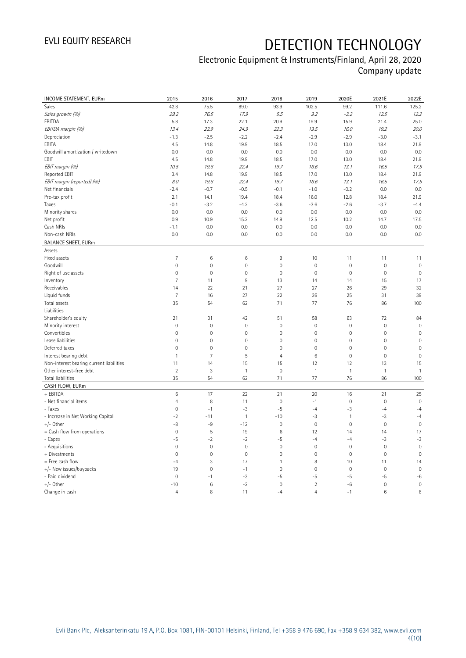### Electronic Equipment & Instruments/Finland, April 28, 2020 Company update

| <b>INCOME STATEMENT, EURm</b>            | 2015                | 2016           | 2017           | 2018           | 2019                | 2020E               | 2021E        | 2022E          |
|------------------------------------------|---------------------|----------------|----------------|----------------|---------------------|---------------------|--------------|----------------|
| Sales                                    | 42.8                | 75.5           | 89.0           | 93.9           | 102.5               | 99.2                | 111.6        | 125.2          |
| Sales growth (%)                         | 29.2                | 76.5           | 17.9           | 5.5            | 9.2                 | $-3.2$              | 12.5         | 12.2           |
| EBITDA                                   | 5.8                 | 17.3           | 22.1           | 20.9           | 19.9                | 15.9                | 21.4         | 25.0           |
| EBITDA margin (%)                        | 13.4                | 22.9           | 24.9           | 22.3           | 19.5                | 16.0                | 19.2         | 20.0           |
| Depreciation                             | $-1.3$              | $-2.5$         | $-2.2$         | $-2.4$         | $-2.9$              | $-2.9$              | $-3.0$       | $-3.1$         |
| EBITA                                    | 4.5                 | 14.8           | 19.9           | 18.5           | 17.0                | 13.0                | 18.4         | 21.9           |
| Goodwill amortization / writedown        | 0.0                 | 0.0            | 0.0            | 0.0            | 0.0                 | 0.0                 | 0.0          | 0.0            |
| EBIT                                     | 4.5                 | 14.8           | 19.9           | 18.5           | 17.0                | 13.0                | 18.4         | 21.9           |
| EBIT margin (%)                          | 10.5                | 19.6           | 22.4           | 19.7           | 16.6                | 13.1                | 16.5         | 17.5           |
| <b>Reported EBIT</b>                     | 3.4                 | 14.8           | 19.9           | 18.5           | 17.0                | 13.0                | 18.4         | 21.9           |
| EBIT margin (reported) (%)               | 8.0                 | 19.6           | 22.4           | 19.7           | 16.6                | 13.1                | 16.5         | 17.5           |
| Net financials                           | $-2.4$              | $-0.7$         | $-0.5$         | $-0.1$         | $-1.0$              | $-0.2$              | 0.0          | 0.0            |
| Pre-tax profit                           | 2.1                 | 14.1           | 19.4           | 18.4           | 16.0                | 12.8                | 18.4         | 21.9           |
| Taxes                                    | $-0.1$              | $-3.2$         | $-4.2$         | $-3.6$         | $-3.6$              | $-2.6$              | $-3.7$       | $-4.4$         |
|                                          | 0.0                 | 0.0            | 0.0            | 0.0            | 0.0                 | 0.0                 | 0.0          | 0.0            |
| Minority shares                          |                     |                |                |                |                     |                     |              |                |
| Net profit                               | 0.9                 | 10.9           | 15.2           | 14.9           | 12.5                | 10.2                | 14.7         | 17.5           |
| Cash NRIs                                | $-1.1$              | 0.0            | 0.0            | 0.0            | 0.0                 | 0.0                 | 0.0          | 0.0            |
| Non-cash NRIs                            | 0.0                 | 0.0            | 0.0            | 0.0            | 0.0                 | 0.0                 | 0.0          | 0.0            |
| <b>BALANCE SHEET, EURm</b>               |                     |                |                |                |                     |                     |              |                |
| Assets                                   |                     |                |                |                |                     |                     |              |                |
| Fixed assets                             | $\overline{7}$      | 6              | 6              | 9              | 10                  | 11                  | 11           | 11             |
| Goodwill                                 | $\mathbb O$         | $\mathbf 0$    | $\mathbf 0$    | $\mathbf 0$    | $\mathbf 0$         | $\mathsf{O}\xspace$ | $\mathbf 0$  | $\mathbf 0$    |
| Right of use assets                      | $\mathbf 0$         | $\mathbf 0$    | $\mathbf 0$    | $\mathbf 0$    | $\mathbf 0$         | $\mathbf 0$         | $\mathbf 0$  | $\mathbf 0$    |
| Inventory                                | $\overline{7}$      | 11             | 9              | 13             | 14                  | 14                  | 15           | 17             |
| Receivables                              | 14                  | 22             | 21             | 27             | 27                  | 26                  | 29           | 32             |
| Liquid funds                             | $\overline{7}$      | 16             | 27             | 22             | 26                  | 25                  | 31           | 39             |
| Total assets                             | 35                  | 54             | 62             | 71             | 77                  | 76                  | 86           | 100            |
| Liabilities                              |                     |                |                |                |                     |                     |              |                |
| Shareholder's equity                     | 21                  | 31             | 42             | 51             | 58                  | 63                  | 72           | 84             |
| Minority interest                        | $\mathbf 0$         | $\mathbf 0$    | $\mathbf 0$    | $\mathbf 0$    | $\mathbf 0$         | $\mathsf{O}\xspace$ | $\mathbf 0$  | $\mathbf 0$    |
| Convertibles                             | $\mathbf 0$         | $\mathbf 0$    | $\overline{0}$ | $\mathbb O$    | $\mathsf{O}\xspace$ | 0                   | $\mathbf 0$  | $\overline{0}$ |
| Lease liabilities                        | $\mathsf{O}\xspace$ | $\mathbf 0$    | $\mathbf 0$    | $\mathbf 0$    | $\mathbf 0$         | 0                   | $\mathbf 0$  | $\mathbf 0$    |
| Deferred taxes                           | $\mathbf 0$         | $\mathbf 0$    | $\mathbf 0$    | $\mathbf 0$    | $\mathbf 0$         | $\mathbf 0$         | $\mathbf 0$  | $\mathbf 0$    |
| Interest bearing debt                    | $\overline{1}$      | $\overline{7}$ | 5              | $\overline{4}$ | $\,6\,$             | $\mathsf{O}\xspace$ | $\mathbf 0$  | $\mathbf 0$    |
| Non-interest bearing current liabilities | 11                  | 14             | 15             | 15             | 12                  | 12                  | 13           | 15             |
| Other interest-free debt                 | $\overline{2}$      | 3              | $\mathbf{1}$   | $\mathbf 0$    | $\mathbf{1}$        | $\mathbf{1}$        | $\mathbf{1}$ | $\mathbf{1}$   |
| Total liabilities                        | 35                  | 54             | 62             | 71             | 77                  | 76                  | 86           | 100            |
| CASH FLOW, EURm                          |                     |                |                |                |                     |                     |              |                |
| + EBITDA                                 | $\,6\,$             | 17             | 22             | 21             | 20                  | 16                  | 21           | 25             |
| - Net financial items                    | $\overline{4}$      | 8              | 11             | $\mathbf 0$    | $-1$                | $\mathbb O$         | $\mathbf 0$  | $\mathbf 0$    |
| - Taxes                                  | $\mathsf{O}\xspace$ | $-1$           | $-3$           | $-5$           | $-4$                | $-3$                | $-4$         | $-4$           |
| - Increase in Net Working Capital        | $-2$                | $-11$          | $\mathbf{1}$   | $-10$          | $-3$                | $\mathbf{1}$        | $-3$         | $-4$           |
| $+/-$ Other                              | $-8$                | -9             | $-12$          | $\mathbb O$    | $\mathbf 0$         | $\mathsf{O}\xspace$ | $\mathbf 0$  | $\mathbf 0$    |
| $=$ Cash flow from operations            | $\mathsf{O}\xspace$ | $\mathsf S$    | 19             | 6              | 12                  | 14                  | 14           | 17             |
| - Capex                                  | $-5$                | $-2$           | $-2$           | $-5$           | $-4$                | $-4$                | $-3$         | $-3$           |
| - Acquisitions                           | $\mathbf 0$         | $\mathbf 0$    | $\mathbf 0$    | $\mathbf{0}$   | $\mathbf 0$         | $\mathbf 0$         | $\mathbf 0$  | $\mathbf 0$    |
| + Divestments                            | $\mathsf{O}\xspace$ | $\mathbf 0$    | $\mathbf 0$    | $\mathbf 0$    | $\mathbf 0$         | $\mathsf{O}\xspace$ | $\mathbf 0$  | $\mathbf 0$    |
| = Free cash flow                         | $-4$                | $\sqrt{3}$     | 17             | $\mathbf{1}$   | 8                   | 10                  | 11           | 14             |
| +/- New issues/buybacks                  | 19                  | $\mathbf 0$    | $-1$           | $\mathbf 0$    | $\mathbf 0$         | $\mathsf{O}\xspace$ | $\mathbf 0$  | $\mathbf 0$    |
| - Paid dividend                          | $\mathbf 0$         | $-1$           | $-3$           | -5             | $-5$                | -5                  | -5           | $-6$           |
| $+/-$ Other                              | $-10$               | $\,6\,$        | $-2$           | $\mathbf 0$    | $\overline{2}$      | -6                  | $\mathbf 0$  | $\mathbf 0$    |
| Change in cash                           | $\overline{4}$      | 8              | 11             | $-4$           | $\overline{4}$      | $-1$                | 6            | 8              |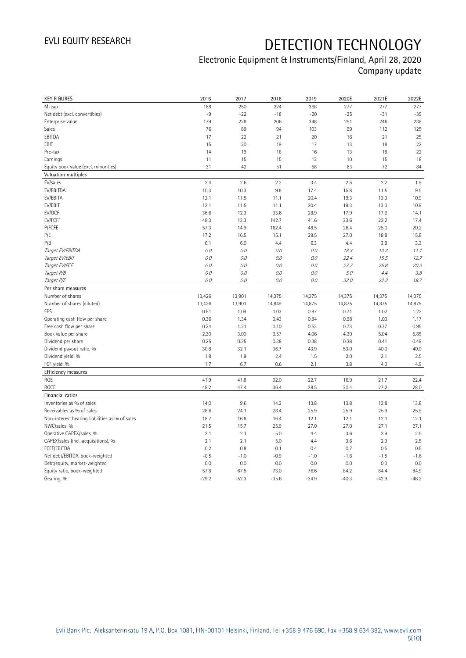## Electronic Equipment & Instruments/Finland, April 28, 2020 Company update

| <b>KEY FIGURES</b>                             | 2016            | 2017            | 2018            | 2019            | 2020E           | 2021E           | 2022E           |
|------------------------------------------------|-----------------|-----------------|-----------------|-----------------|-----------------|-----------------|-----------------|
| M-cap                                          | 188             | 250             | 224             | 368             | 277             | 277             | 277             |
| Net debt (excl. convertibles)                  | $-9$            | $-22$           | $-18$           | $-20$           | $-25$           | $-31$           | $-39$           |
| Enterprise value                               | 179             | 228             | 206             | 348             | 251             | 246             | 238             |
| Sales                                          | 76              | 89              | 94              | 103             | 99              | 112             | 125             |
| EBITDA                                         | 17              | 22              | 21              | 20              | 16              | 21              | 25              |
| EBIT                                           | 15              | 20              | 19              | 17              | 13              | 18              | 22              |
| Pre-tax                                        | 14              | 19              | 18              | 16              | 13              | 18              | 22              |
| Earnings                                       | 11              | 15              | 15              | 12              | 10              | 15              | 18              |
| Equity book value (excl. minorities)           | 31              | 42              | 51              | 58              | 63              | 72              | 84              |
| Valuation multiples                            |                 |                 |                 |                 |                 |                 |                 |
| EV/sales                                       | 2.4             | 2.6             | 2.2             | 3.4             | 2.5             | 2.2             | 1.9             |
| EV/EBITDA                                      | 10.3            | 10.3            | 9.8             | 17.4            | 15.8            | 11.5            | 9.5             |
| EV/EBITA                                       | 12.1            | 11.5            | 11.1            | 20.4            | 19.3            | 13.3            | 10.9            |
| EV/EBIT                                        | 12.1            | 11.5            | 11.1            | 20.4            | 19.3            | 13.3            | 10.9            |
| EV/OCF                                         | 36.6            | 12.3            | 33.6            | 28.9            | 17.9            | 17.2            | 14.1            |
| EV/FCFF                                        | 48.3            | 13.3            | 142.7           | 41.6            | 23.6            | 22.2            | 17.4            |
| P/FCFE                                         | 57.3            | 14.9            | 162.4           | 48.5            | 26.4            | 25.0            | 20.2            |
| P/E                                            | 17.2            | 16.5            | 15.1            | 29.5            | 27.0            | 18.8            | 15.8            |
| P/B                                            | 6.1             | 6.0             | 4.4             | 6.3             | 4.4             | 3.8             | 3.3             |
| Target EV/EBITDA                               | 0.0             | 0.0             | 0.0             | 0.0             | 18.3            | 13.3            | 11.1            |
| Target EV/EBIT                                 | 0.0             | 0.0             | 0.0             | 0.0             | 22.4            | 15.5            | 12.7            |
| Target EV/FCF                                  | 0.0             | $O.O$           | 0.0             | $O.O$           | 27.7            | 25.8            | 20.3            |
| Target P/B                                     | 0.0             | $O.O$           | 0.0             | $O.O$           | 5.0             | 4.4             | 3.8             |
| Target P/E                                     | 0.0             | 0.0             | 0.0             | 0.0             | 32.0            | 22.2            | 18.7            |
| Per share measures                             |                 |                 |                 |                 |                 |                 |                 |
|                                                |                 |                 |                 |                 |                 |                 |                 |
|                                                |                 |                 |                 |                 |                 |                 |                 |
| Number of shares                               | 13,426          | 13,901          | 14,375          | 14,375          | 14,375          | 14,375          | 14,375          |
| Number of shares (diluted)                     | 13,426          | 13,901          | 14,849          | 14,875          | 14,875          | 14,875          | 14,875          |
| EPS                                            | 0.81            | 1.09            | 1.03            | 0.87            | 0.71            | 1.02            | 1.22            |
| Operating cash flow per share                  | 0.36            | 1.34            | 0.43            | 0.84            | 0.98            | 1.00            | 1.17            |
| Free cash flow per share                       | 0.24            | 1.21            | 0.10            | 0.53            | 0.73            | 0.77            | 0.95            |
| Book value per share                           | 2.30            | 3.00            | 3.57            | 4.06            | 4.39            | 5.04            | 5.85            |
| Dividend per share                             | 0.25            | 0.35            | 0.38            | 0.38            | 0.38            | 0.41            | 0.49            |
| Dividend payout ratio, %                       | 30.8            | 32.1            | 36.7            | 43.9            | 53.0            | 40.0            | 40.0            |
| Dividend yield, %                              | 1.8             | 1.9             | 2.4             | 1.5             | 2.0             | 2.1             | 2.5             |
| FCF yield, %                                   | 1.7             | 6.7             | 0.6             | 2.1             | 3.8             | 4.0             | 4.9             |
| Efficiency measures                            |                 |                 |                 |                 |                 |                 |                 |
| <b>ROE</b>                                     | 41.9            | 41.8            | 32.0            | 22.7            | 16.9            | 21.7            | 22.4            |
| <b>ROCE</b>                                    | 48.2            | 47.4            | 36.4            | 28.5            | 20.4            | 27.2            | 28.0            |
| Financial ratios                               |                 |                 |                 |                 |                 |                 |                 |
| Inventories as % of sales                      | 14.0            | 9.6             | 14.2            | 13.8            | 13.8            | 13.8            | 13.8            |
| Receivables as % of sales                      | 28.6            | 24.1            | 28.4            | 25.9            | 25.9            | 25.9            | 25.9            |
| Non-interest bearing liabilities as % of sales | 18.7            | 16.8            | 16.4            | 12.1            | 12.1            | 12.1            | 12.1            |
| NWC/sales, %                                   | 21.5            | 15.7            | 25.9            | 27.0            | 27.0            | 27.1            | 27.1            |
| Operative CAPEX/sales, %                       | 2.1             | 2.1             | 5.0             | 4.4             | 3.6             | 2.9             | 2.5             |
| CAPEX/sales (incl. acquisitions), %            | 2.1             | 2.1             | 5.0             | 4.4             | 3.6             | 2.9             | 2.5             |
| FCFF/EBITDA                                    | 0.2             | 0.8             | 0.1             | 0.4             | 0.7             | 0.5             | 0.5             |
| Net debt/EBITDA, book-weighted                 | $-0.5$          | $-1.0$          | $-0.9$          | $-1.0$          | $-1.6$          | $-1.5$          | $-1.6$          |
| Debt/equity, market-weighted                   | 0.0             | 0.0             | 0.0             | 0.0             | 0.0             | 0.0             | 0.0             |
| Equity ratio, book-weighted<br>Gearing, %      | 57.8<br>$-29.2$ | 67.5<br>$-52.3$ | 73.0<br>$-35.6$ | 76.6<br>$-34.9$ | 84.2<br>$-40.3$ | 84.4<br>$-42.9$ | 84.9<br>$-46.2$ |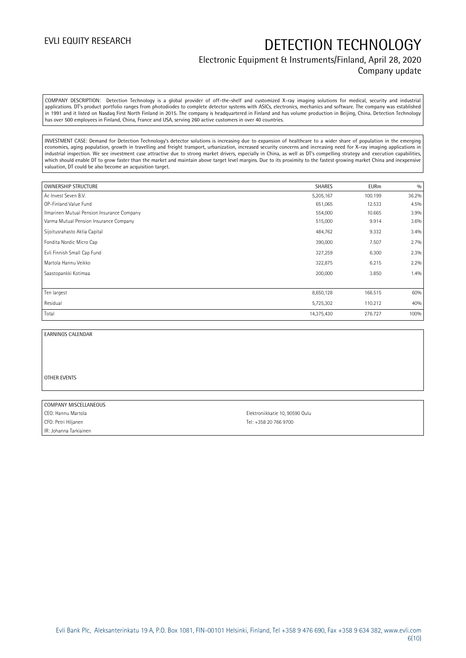### Electronic Equipment & Instruments/Finland, April 28, 2020 Company update

COMPANY DESCRIPTION: Detection Technology is a global provider of off-the-shelf and customized X-ray imaging solutions for medical, security and industrial applications. DT's product portfolio ranges from photodiodes to complete detector systems with ASICs, electronics, mechanics and software. The company was established in 1991 and it listed on Nasdaq First North Finland in 2015. The company is headquartered in Finland and has volume production in Beijing, China. Detection Technology has over 500 employees in Finland, China, France and USA, serving 260 active customers in over 40 countries.

INVESTMENT CASE: Demand for Detection Technology's detector solutions is increasing due to expansion of healthcare to a wider share of population in the emerging economies, aging population, growth in travelling and freight transport, urbanization, increased security concerns and increasing need for X-ray imaging applications in industrial inspection. We see investment case attractive due to strong market drivers, especially in China, as well as DT's compelling strategy and execution capabilities, which should enable DT to grow faster than the market and maintain above target level margins. Due to its proximity to the fastest growing market China and inexpensive valuation, DT could be also become an acquisition target.

| <b>OWNERSHIP STRUCTURE</b>                 | <b>SHARES</b> | <b>EURm</b> | 0/0   |
|--------------------------------------------|---------------|-------------|-------|
| Ac Invest Seven B.V.                       | 5,205,167     | 100.199     | 36.2% |
| OP-Finland Value Fund                      | 651,065       | 12.533      | 4.5%  |
| Ilmarinen Mutual Pension Insurance Company | 554,000       | 10.665      | 3.9%  |
| Varma Mutual Pension Insurance Company     | 515,000       | 9.914       | 3.6%  |
| Sijoitusrahasto Aktia Capital              | 484,762       | 9.332       | 3.4%  |
| Fondita Nordic Micro Cap                   | 390,000       | 7.507       | 2.7%  |
| Evli Finnish Small Cap Fund                | 327,259       | 6.300       | 2.3%  |
| Martola Hannu Veikko                       | 322,875       | 6.215       | 2.2%  |
| Saastopankki Kotimaa                       | 200,000       | 3.850       | 1.4%  |
|                                            |               |             |       |
| Ten largest                                | 8,650,128     | 166.515     | 60%   |
| Residual                                   | 5,725,302     | 110.212     | 40%   |
| Total                                      | 14,375,430    | 276.727     | 100%  |

#### EARNINGS CALENDAR

#### OTHER EVENTS

#### COMPANY MISCELLANEOUS

CFO: Petri Hiljanen Tel: +358 20 766 9700 IR: Johanna Tarkiainen

CEO: Hannu Martola Elektroniikkatie 10, 90590 Oulu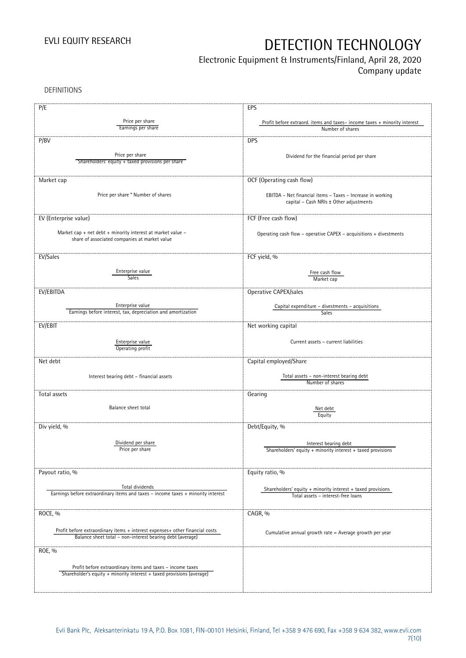## Electronic Equipment & Instruments/Finland, April 28, 2020

Company update

DEFINITIONS

| P/E                                                                                                                                       | EPS                                                                                                   |
|-------------------------------------------------------------------------------------------------------------------------------------------|-------------------------------------------------------------------------------------------------------|
| Price per share<br>Earnings per share                                                                                                     | Profit before extraord. items and taxes-income taxes + minority interest<br>Number of shares          |
| P/BV                                                                                                                                      | <b>DPS</b>                                                                                            |
| Price per share<br>Shareholders' equity + taxed provisions per share                                                                      | Dividend for the financial period per share                                                           |
| Market cap                                                                                                                                | OCF (Operating cash flow)                                                                             |
| Price per share * Number of shares                                                                                                        | EBITDA - Net financial items - Taxes - Increase in working<br>capital - Cash NRIs ± Other adjustments |
| EV (Enterprise value)                                                                                                                     | FCF (Free cash flow)                                                                                  |
| Market cap + net debt + minority interest at market value -<br>share of associated companies at market value                              | Operating cash flow - operative CAPEX - acquisitions + divestments                                    |
| EV/Sales                                                                                                                                  | FCF yield, %                                                                                          |
| Enterprise value<br><b>Sales</b>                                                                                                          | Free cash flow<br>Market cap                                                                          |
| EV/EBITDA                                                                                                                                 | Operative CAPEX/sales                                                                                 |
| Enterprise value<br>Earnings before interest, tax, depreciation and amortization                                                          | Capital expenditure - divestments - acquisitions<br>Sales                                             |
| EV/EBIT                                                                                                                                   | Net working capital                                                                                   |
| Enterprise value<br>Operating profit                                                                                                      | Current assets - current liabilities                                                                  |
| Net debt                                                                                                                                  | Capital employed/Share                                                                                |
| Interest bearing debt - financial assets                                                                                                  | Total assets - non-interest bearing debt<br>Number of shares                                          |
| Total assets                                                                                                                              | Gearing                                                                                               |
| Balance sheet total                                                                                                                       | Net debt<br>Equity                                                                                    |
| Div yield, %                                                                                                                              | Debt/Equity, %                                                                                        |
| Dividend per share<br>Price per share                                                                                                     | Interest bearing debt<br>Shareholders' equity + minority interest + taxed provisions                  |
| Payout ratio, %                                                                                                                           | Equity ratio, %                                                                                       |
| Total dividends<br>Earnings before extraordinary items and taxes - income taxes + minority interest                                       | Shareholders' equity $+$ minority interest $+$ taxed provisions<br>Total assets - interest-free loans |
| ROCE, %                                                                                                                                   | CAGR, %                                                                                               |
| Profit before extraordinary items + interest expenses+ other financial costs<br>Balance sheet total - non-interest bearing debt (average) | Cumulative annual growth rate = Average growth per year                                               |
| ROE, %                                                                                                                                    |                                                                                                       |
| Profit before extraordinary items and taxes - income taxes<br>Shareholder's equity + minority interest + taxed provisions (average)       |                                                                                                       |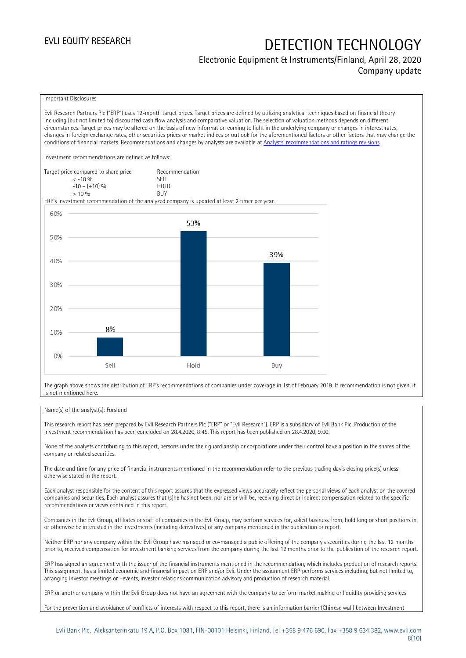### Electronic Equipment & Instruments/Finland, April 28, 2020 Company update

#### Important Disclosures

Evli Research Partners Plc ("ERP") uses 12-month target prices. Target prices are defined by utilizing analytical techniques based on financial theory including (but not limited to) discounted cash flow analysis and comparative valuation. The selection of valuation methods depends on different circumstances. Target prices may be altered on the basis of new information coming to light in the underlying company or changes in interest rates, changes in foreign exchange rates, other securities prices or market indices or outlook for the aforementioned factors or other factors that may change the conditions of financial markets. Recommendations and changes by analysts are available at [Analysts' recommendations and ratings revisions](https://research.evli.com/JasperAllModels.action?authParam=key;461&authParam=x;G3rNagWrtf7K&authType=3). Investment recommendations are defined as follows: Target price compared to share price Recommendation<br>CELL CALLO 06 < -10 % SELL  $-10 - (+10) \%$  HOL<br>  $> 10 \%$  $> 10\%$ ERP's investment recommendation of the analyzed company is updated at least 2 timer per year. 60% 53% 50% 39% 40% 30% 20% 8% 10%  $0%$ Hold Sell Buy

The graph above shows the distribution of ERP's recommendations of companies under coverage in 1st of February 2019. If recommendation is not given, it is not mentioned here.

#### Name(s) of the analyst(s): Forslund

This research report has been prepared by Evli Research Partners Plc ("ERP" or "Evli Research"). ERP is a subsidiary of Evli Bank Plc. Production of the investment recommendation has been concluded on 28.4.2020, 8:45. This report has been published on 28.4.2020, 9:00.

None of the analysts contributing to this report, persons under their guardianship or corporations under their control have a position in the shares of the company or related securities.

The date and time for any price of financial instruments mentioned in the recommendation refer to the previous trading day's closing price(s) unless otherwise stated in the report.

Each analyst responsible for the content of this report assures that the expressed views accurately reflect the personal views of each analyst on the covered companies and securities. Each analyst assures that (s)he has not been, nor are or will be, receiving direct or indirect compensation related to the specific recommendations or views contained in this report.

Companies in the Evli Group, affiliates or staff of companies in the Evli Group, may perform services for, solicit business from, hold long or short positions in, or otherwise be interested in the investments (including derivatives) of any company mentioned in the publication or report.

Neither ERP nor any company within the Evli Group have managed or co-managed a public offering of the company's securities during the last 12 months prior to, received compensation for investment banking services from the company during the last 12 months prior to the publication of the research report.

ERP has signed an agreement with the issuer of the financial instruments mentioned in the recommendation, which includes production of research reports. This assignment has a limited economic and financial impact on ERP and/or Evli. Under the assignment ERP performs services including, but not limited to, arranging investor meetings or –events, investor relations communication advisory and production of research material.

ERP or another company within the Evli Group does not have an agreement with the company to perform market making or liquidity providing services.

For the prevention and avoidance of conflicts of interests with respect to this report, there is an information barrier (Chinese wall) between Investment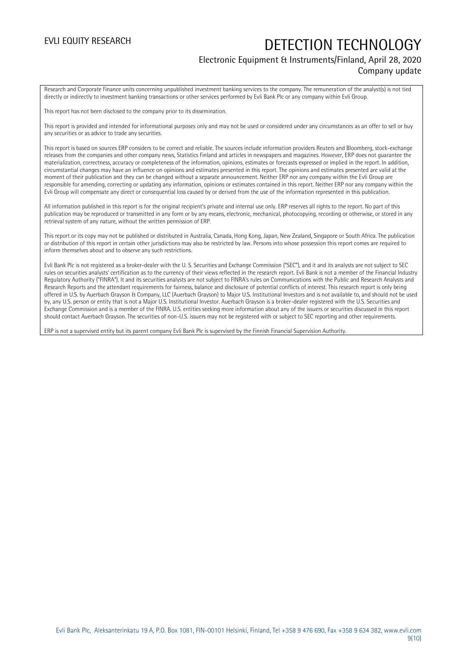### Electronic Equipment & Instruments/Finland, April 28, 2020 Company update

Research and Corporate Finance units concerning unpublished investment banking services to the company. The remuneration of the analyst(s) is not tied directly or indirectly to investment banking transactions or other services performed by Evli Bank Plc or any company within Evli Group.

This report has not been disclosed to the company prior to its dissemination.

This report is provided and intended for informational purposes only and may not be used or considered under any circumstances as an offer to sell or buy any securities or as advice to trade any securities.

This report is based on sources ERP considers to be correct and reliable. The sources include information providers Reuters and Bloomberg, stock-exchange releases from the companies and other company news, Statistics Finland and articles in newspapers and magazines. However, ERP does not guarantee the materialization, correctness, accuracy or completeness of the information, opinions, estimates or forecasts expressed or implied in the report. In addition, circumstantial changes may have an influence on opinions and estimates presented in this report. The opinions and estimates presented are valid at the moment of their publication and they can be changed without a separate announcement. Neither ERP nor any company within the Evli Group are responsible for amending, correcting or updating any information, opinions or estimates contained in this report. Neither ERP nor any company within the Evli Group will compensate any direct or consequential loss caused by or derived from the use of the information represented in this publication.

All information published in this report is for the original recipient's private and internal use only. ERP reserves all rights to the report. No part of this publication may be reproduced or transmitted in any form or by any means, electronic, mechanical, photocopying, recording or otherwise, or stored in any retrieval system of any nature, without the written permission of ERP.

This report or its copy may not be published or distributed in Australia, Canada, Hong Kong, Japan, New Zealand, Singapore or South Africa. The publication or distribution of this report in certain other jurisdictions may also be restricted by law. Persons into whose possession this report comes are required to inform themselves about and to observe any such restrictions.

Evli Bank Plc is not registered as a broker-dealer with the U. S. Securities and Exchange Commission ("SEC"), and it and its analysts are not subject to SEC rules on securities analysts' certification as to the currency of their views reflected in the research report. Evli Bank is not a member of the Financial Industry Regulatory Authority ("FINRA"). It and its securities analysts are not subject to FINRA's rules on Communications with the Public and Research Analysts and Research Reports and the attendant requirements for fairness, balance and disclosure of potential conflicts of interest. This research report is only being offered in U.S. by Auerbach Grayson & Company, LLC (Auerbach Grayson) to Major U.S. Institutional Investors and is not available to, and should not be used by, any U.S. person or entity that is not a Major U.S. Institutional Investor. Auerbach Grayson is a broker-dealer registered with the U.S. Securities and Exchange Commission and is a member of the FINRA. U.S. entities seeking more information about any of the issuers or securities discussed in this report should contact Auerbach Grayson. The securities of non-U.S. issuers may not be registered with or subject to SEC reporting and other requirements.

ERP is not a supervised entity but its parent company Evli Bank Plc is supervised by the Finnish Financial Supervision Authority.